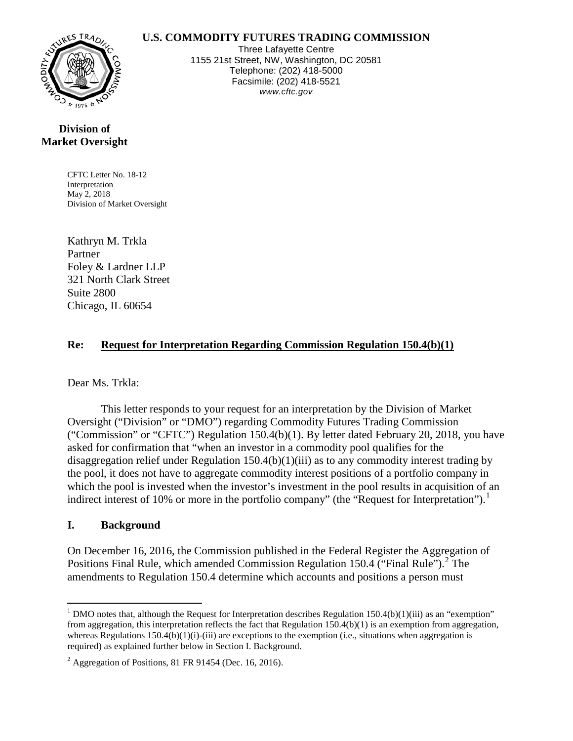#### **U.S. COMMODITY FUTURES TRADING COMMISSION**



Three Lafayette Centre 1155 21st Street, NW, Washington, DC 20581 Telephone: (202) 418-5000 Facsimile: (202) 418-5521 *www.cftc.gov*

## **Division of Market Oversight**

CFTC Letter No. 18-12 Interpretation May 2, 2018 Division of Market Oversight

Kathryn M. Trkla Partner Foley & Lardner LLP 321 North Clark Street Suite 2800 Chicago, IL 60654

### **Re: Request for Interpretation Regarding Commission Regulation 150.4(b)(1)**

### Dear Ms. Trkla:

This letter responds to your request for an interpretation by the Division of Market Oversight ("Division" or "DMO") regarding Commodity Futures Trading Commission ("Commission" or "CFTC") Regulation 150.4(b)(1). By letter dated February 20, 2018, you have asked for confirmation that "when an investor in a commodity pool qualifies for the disaggregation relief under Regulation 150.4(b)(1)(iii) as to any commodity interest trading by the pool, it does not have to aggregate commodity interest positions of a portfolio company in which the pool is invested when the investor's investment in the pool results in acquisition of an indirect interest of [1](#page-0-0)0% or more in the portfolio company" (the "Request for Interpretation").<sup>1</sup>

### **I. Background**

On December 16, 2016, the Commission published in the Federal Register the Aggregation of Positions Final Rule, which amended Commission Regulation 150.4 ("Final Rule").<sup>[2](#page-0-1)</sup> The amendments to Regulation 150.4 determine which accounts and positions a person must

<span id="page-0-0"></span><sup>&</sup>lt;sup>1</sup> DMO notes that, although the Request for Interpretation describes Regulation 150.4(b)(1)(iii) as an "exemption" from aggregation, this interpretation reflects the fact that Regulation  $150.4(b)(1)$  is an exemption from aggregation, whereas Regulations  $150.4(b)(1)(i)-(iii)$  are exceptions to the exemption (i.e., situations when aggregation is required) as explained further below in Section I. Background.

<span id="page-0-1"></span> $<sup>2</sup>$  Aggregation of Positions, 81 FR 91454 (Dec. 16, 2016).</sup>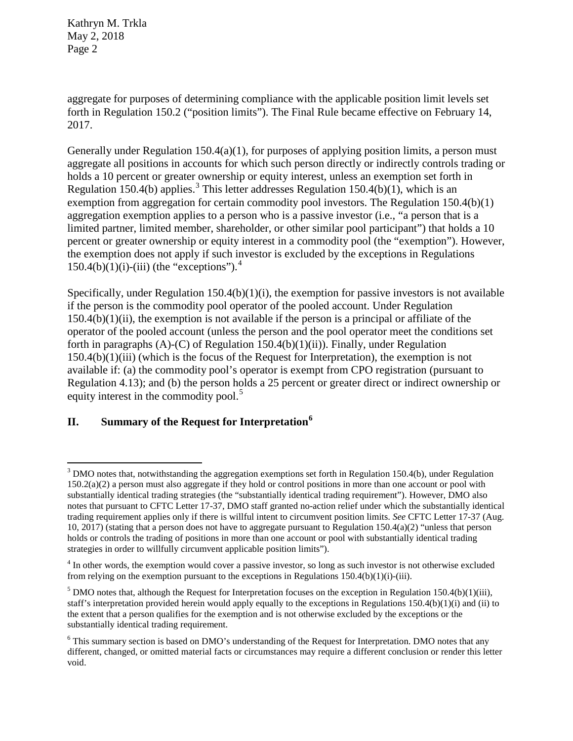aggregate for purposes of determining compliance with the applicable position limit levels set forth in Regulation 150.2 ("position limits"). The Final Rule became effective on February 14, 2017.

Generally under Regulation  $150.4(a)(1)$ , for purposes of applying position limits, a person must aggregate all positions in accounts for which such person directly or indirectly controls trading or holds a 10 percent or greater ownership or equity interest, unless an exemption set forth in Regulation 150.4(b) applies.<sup>[3](#page-1-0)</sup> This letter addresses Regulation 150.4(b)(1), which is an exemption from aggregation for certain commodity pool investors. The Regulation 150.4(b)(1) aggregation exemption applies to a person who is a passive investor (i.e., "a person that is a limited partner, limited member, shareholder, or other similar pool participant") that holds a 10 percent or greater ownership or equity interest in a commodity pool (the "exemption"). However, the exemption does not apply if such investor is excluded by the exceptions in Regulations  $150.4(b)(1)(i)$  $150.4(b)(1)(i)$  $150.4(b)(1)(i)$ -(iii) (the "exceptions").<sup>4</sup>

Specifically, under Regulation 150.4(b)(1)(i), the exemption for passive investors is not available if the person is the commodity pool operator of the pooled account. Under Regulation  $150.4(b)(1)(ii)$ , the exemption is not available if the person is a principal or affiliate of the operator of the pooled account (unless the person and the pool operator meet the conditions set forth in paragraphs  $(A)$ - $(C)$  of Regulation 150.4 $(b)(1)(ii)$ ). Finally, under Regulation  $150.4(b)(1)(iii)$  (which is the focus of the Request for Interpretation), the exemption is not available if: (a) the commodity pool's operator is exempt from CPO registration (pursuant to Regulation 4.13); and (b) the person holds a 25 percent or greater direct or indirect ownership or equity interest in the commodity pool.<sup>[5](#page-1-2)</sup>

# **II. Summary of the Request for Interpretation[6](#page-1-3)**

<span id="page-1-0"></span> $3$  DMO notes that, notwithstanding the aggregation exemptions set forth in Regulation 150.4(b), under Regulation  $150.2(a)(2)$  a person must also aggregate if they hold or control positions in more than one account or pool with substantially identical trading strategies (the "substantially identical trading requirement"). However, DMO also notes that pursuant to CFTC Letter 17-37, DMO staff granted no-action relief under which the substantially identical trading requirement applies only if there is willful intent to circumvent position limits. *See* CFTC Letter 17-37 (Aug. 10, 2017) (stating that a person does not have to aggregate pursuant to Regulation 150.4(a)(2) "unless that person holds or controls the trading of positions in more than one account or pool with substantially identical trading strategies in order to willfully circumvent applicable position limits").

<span id="page-1-1"></span><sup>&</sup>lt;sup>4</sup> In other words, the exemption would cover a passive investor, so long as such investor is not otherwise excluded from relying on the exemption pursuant to the exceptions in Regulations  $150.4(b)(1)(i)-(iii)$ .

<span id="page-1-2"></span><sup>&</sup>lt;sup>5</sup> DMO notes that, although the Request for Interpretation focuses on the exception in Regulation 150.4(b)(1)(iii), staff's interpretation provided herein would apply equally to the exceptions in Regulations  $150.4(b)(1)(i)$  and (ii) to the extent that a person qualifies for the exemption and is not otherwise excluded by the exceptions or the substantially identical trading requirement.

<span id="page-1-3"></span><sup>&</sup>lt;sup>6</sup> This summary section is based on DMO's understanding of the Request for Interpretation. DMO notes that any different, changed, or omitted material facts or circumstances may require a different conclusion or render this letter void.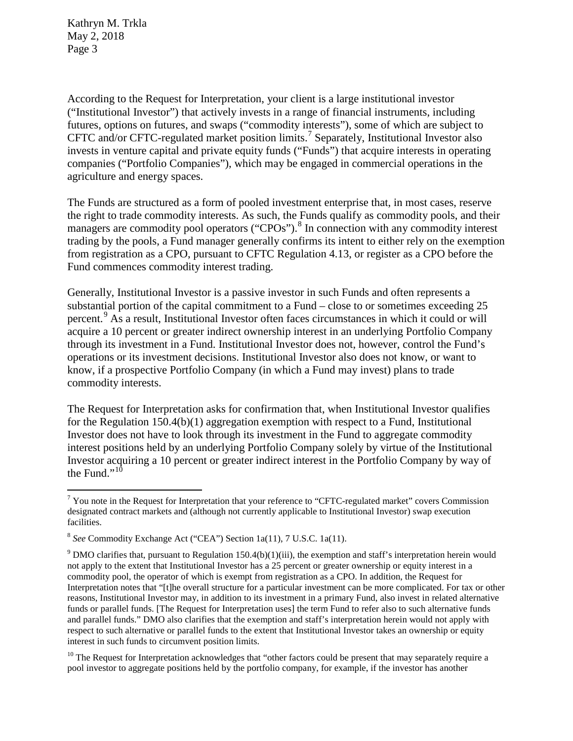According to the Request for Interpretation, your client is a large institutional investor ("Institutional Investor") that actively invests in a range of financial instruments, including futures, options on futures, and swaps ("commodity interests"), some of which are subject to CFTC and/or CFTC-regulated market position limits.<sup>[7](#page-2-0)</sup> Separately, Institutional Investor also invests in venture capital and private equity funds ("Funds") that acquire interests in operating companies ("Portfolio Companies"), which may be engaged in commercial operations in the agriculture and energy spaces.

The Funds are structured as a form of pooled investment enterprise that, in most cases, reserve the right to trade commodity interests. As such, the Funds qualify as commodity pools, and their managers are commodity pool operators ("CPOs").<sup>[8](#page-2-1)</sup> In connection with any commodity interest trading by the pools, a Fund manager generally confirms its intent to either rely on the exemption from registration as a CPO, pursuant to CFTC Regulation 4.13, or register as a CPO before the Fund commences commodity interest trading.

Generally, Institutional Investor is a passive investor in such Funds and often represents a substantial portion of the capital commitment to a Fund – close to or sometimes exceeding 25 percent. [9](#page-2-2) As a result, Institutional Investor often faces circumstances in which it could or will acquire a 10 percent or greater indirect ownership interest in an underlying Portfolio Company through its investment in a Fund. Institutional Investor does not, however, control the Fund's operations or its investment decisions. Institutional Investor also does not know, or want to know, if a prospective Portfolio Company (in which a Fund may invest) plans to trade commodity interests.

The Request for Interpretation asks for confirmation that, when Institutional Investor qualifies for the Regulation 150.4(b)(1) aggregation exemption with respect to a Fund, Institutional Investor does not have to look through its investment in the Fund to aggregate commodity interest positions held by an underlying Portfolio Company solely by virtue of the Institutional Investor acquiring a 10 percent or greater indirect interest in the Portfolio Company by way of the Fund."<sup>[10](#page-2-3)</sup>

<span id="page-2-3"></span> $10$  The Request for Interpretation acknowledges that "other factors could be present that may separately require a pool investor to aggregate positions held by the portfolio company, for example, if the investor has another

<span id="page-2-0"></span><sup>&</sup>lt;sup>7</sup> You note in the Request for Interpretation that your reference to "CFTC-regulated market" covers Commission designated contract markets and (although not currently applicable to Institutional Investor) swap execution facilities.

<span id="page-2-1"></span><sup>8</sup> *See* Commodity Exchange Act ("CEA") Section 1a(11), 7 U.S.C. 1a(11).

<span id="page-2-2"></span> $9$  DMO clarifies that, pursuant to Regulation 150.4(b)(1)(iii), the exemption and staff's interpretation herein would not apply to the extent that Institutional Investor has a 25 percent or greater ownership or equity interest in a commodity pool, the operator of which is exempt from registration as a CPO. In addition, the Request for Interpretation notes that "[t]he overall structure for a particular investment can be more complicated. For tax or other reasons, Institutional Investor may, in addition to its investment in a primary Fund, also invest in related alternative funds or parallel funds. [The Request for Interpretation uses] the term Fund to refer also to such alternative funds and parallel funds." DMO also clarifies that the exemption and staff's interpretation herein would not apply with respect to such alternative or parallel funds to the extent that Institutional Investor takes an ownership or equity interest in such funds to circumvent position limits.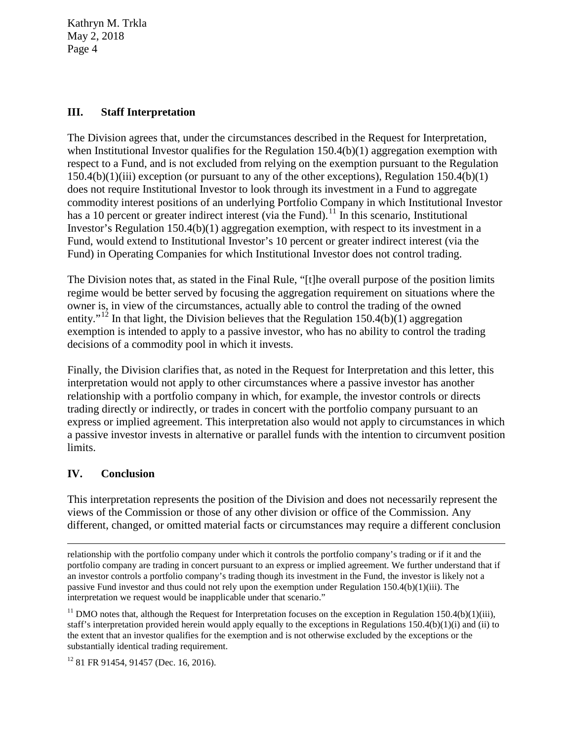#### **III. Staff Interpretation**

The Division agrees that, under the circumstances described in the Request for Interpretation, when Institutional Investor qualifies for the Regulation  $150.4(b)(1)$  aggregation exemption with respect to a Fund, and is not excluded from relying on the exemption pursuant to the Regulation 150.4(b)(1)(iii) exception (or pursuant to any of the other exceptions), Regulation 150.4(b)(1) does not require Institutional Investor to look through its investment in a Fund to aggregate commodity interest positions of an underlying Portfolio Company in which Institutional Investor has a 10 percent or greater indirect interest (via the Fund).<sup>[11](#page-3-0)</sup> In this scenario, Institutional Investor's Regulation 150.4(b)(1) aggregation exemption, with respect to its investment in a Fund, would extend to Institutional Investor's 10 percent or greater indirect interest (via the Fund) in Operating Companies for which Institutional Investor does not control trading.

The Division notes that, as stated in the Final Rule, "[t]he overall purpose of the position limits regime would be better served by focusing the aggregation requirement on situations where the owner is, in view of the circumstances, actually able to control the trading of the owned entity."<sup>[12](#page-3-1)</sup> In that light, the Division believes that the Regulation 150.4(b)(1) aggregation exemption is intended to apply to a passive investor, who has no ability to control the trading decisions of a commodity pool in which it invests.

Finally, the Division clarifies that, as noted in the Request for Interpretation and this letter, this interpretation would not apply to other circumstances where a passive investor has another relationship with a portfolio company in which, for example, the investor controls or directs trading directly or indirectly, or trades in concert with the portfolio company pursuant to an express or implied agreement. This interpretation also would not apply to circumstances in which a passive investor invests in alternative or parallel funds with the intention to circumvent position limits.

### **IV. Conclusion**

 $\overline{a}$ 

This interpretation represents the position of the Division and does not necessarily represent the views of the Commission or those of any other division or office of the Commission. Any different, changed, or omitted material facts or circumstances may require a different conclusion

relationship with the portfolio company under which it controls the portfolio company's trading or if it and the portfolio company are trading in concert pursuant to an express or implied agreement. We further understand that if an investor controls a portfolio company's trading though its investment in the Fund, the investor is likely not a passive Fund investor and thus could not rely upon the exemption under Regulation 150.4(b)(1)(iii). The interpretation we request would be inapplicable under that scenario."

<span id="page-3-0"></span> $11$  DMO notes that, although the Request for Interpretation focuses on the exception in Regulation 150.4(b)(1)(iii), staff's interpretation provided herein would apply equally to the exceptions in Regulations  $150.4(b)(1)(i)$  and (ii) to the extent that an investor qualifies for the exemption and is not otherwise excluded by the exceptions or the substantially identical trading requirement.

<span id="page-3-1"></span><sup>&</sup>lt;sup>12</sup> 81 FR 91454, 91457 (Dec. 16, 2016).